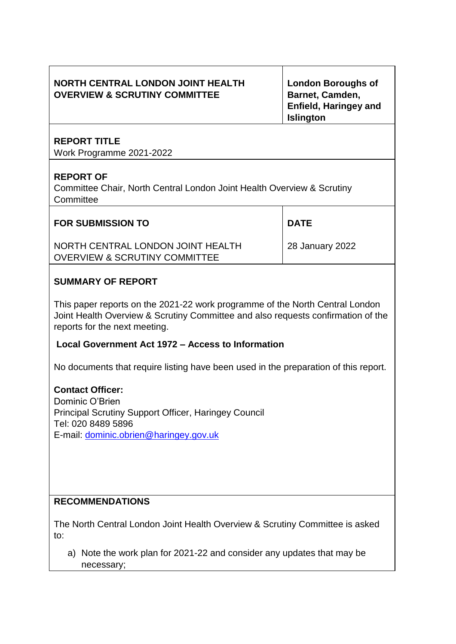# **NORTH CENTRAL LONDON JOINT HEALTH OVERVIEW & SCRUTINY COMMITTEE**

**London Boroughs of Barnet, Camden, Enfield, Haringey and Islington** 

# **REPORT TITLE**

Work Programme 2021-2022

## **REPORT OF**

Committee Chair, North Central London Joint Health Overview & Scrutiny **Committee** 

## **FOR SUBMISSION TO**

NORTH CENTRAL LONDON JOINT HEALTH OVERVIEW & SCRUTINY COMMITTEE

28 January 2022

**DATE** 

## **SUMMARY OF REPORT**

This paper reports on the 2021-22 work programme of the North Central London Joint Health Overview & Scrutiny Committee and also requests confirmation of the reports for the next meeting.

### **Local Government Act 1972 – Access to Information**

No documents that require listing have been used in the preparation of this report.

# **Contact Officer:**

Dominic O'Brien Principal Scrutiny Support Officer, Haringey Council Tel: 020 8489 5896 E-mail: [dominic.obrien@haringey.gov.uk](mailto:dominic.obrien@haringey.gov.uk)

## **RECOMMENDATIONS**

The North Central London Joint Health Overview & Scrutiny Committee is asked to:

a) Note the work plan for 2021-22 and consider any updates that may be necessary;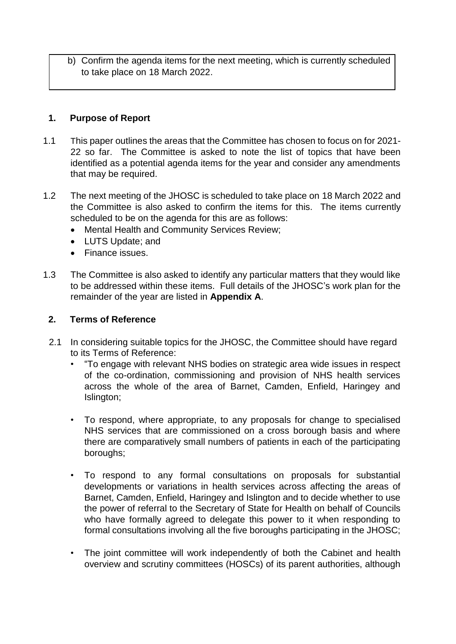b) Confirm the agenda items for the next meeting, which is currently scheduled to take place on 18 March 2022.

## **1. Purpose of Report**

- 1.1 This paper outlines the areas that the Committee has chosen to focus on for 2021- 22 so far. The Committee is asked to note the list of topics that have been identified as a potential agenda items for the year and consider any amendments that may be required.
- 1.2 The next meeting of the JHOSC is scheduled to take place on 18 March 2022 and the Committee is also asked to confirm the items for this. The items currently scheduled to be on the agenda for this are as follows:
	- Mental Health and Community Services Review;
	- LUTS Update; and
	- Finance issues.
- 1.3 The Committee is also asked to identify any particular matters that they would like to be addressed within these items. Full details of the JHOSC's work plan for the remainder of the year are listed in **Appendix A**.

### **2. Terms of Reference**

- 2.1 In considering suitable topics for the JHOSC, the Committee should have regard to its Terms of Reference:
	- "To engage with relevant NHS bodies on strategic area wide issues in respect of the co-ordination, commissioning and provision of NHS health services across the whole of the area of Barnet, Camden, Enfield, Haringey and Islington;
	- To respond, where appropriate, to any proposals for change to specialised NHS services that are commissioned on a cross borough basis and where there are comparatively small numbers of patients in each of the participating boroughs;
	- To respond to any formal consultations on proposals for substantial developments or variations in health services across affecting the areas of Barnet, Camden, Enfield, Haringey and Islington and to decide whether to use the power of referral to the Secretary of State for Health on behalf of Councils who have formally agreed to delegate this power to it when responding to formal consultations involving all the five boroughs participating in the JHOSC;
	- The joint committee will work independently of both the Cabinet and health overview and scrutiny committees (HOSCs) of its parent authorities, although